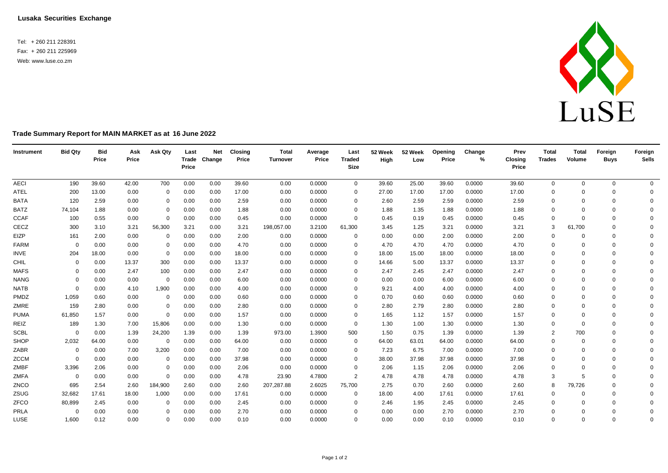**Lusaka Securities Exchange**

Tel: + 260 211 228391 Fax: + 260 211 225969 Web: [www.luse.co.zm](http://www.luse.co.zm/)



## **Trade Summary Report for MAIN MARKET as at 16 June 2022**

| Instrument  | <b>Bid Qty</b> | <b>Bid</b><br>Price | Ask<br>Price | Ask Qty     | Last<br>Price | <b>Net</b><br>Trade Change | <b>Closing</b><br>Price | <b>Total</b><br>Turnover | Average<br>Price | Last<br><b>Traded</b><br><b>Size</b> | 52 Week<br>High | 52 Week<br>Low | Opening<br>Price | Change<br>$\%$ | Prev<br><b>Closing</b><br>Price | <b>Total</b><br><b>Trades</b> | <b>Total</b><br>Volume | Foreign<br><b>Buys</b> | Foreign<br><b>Sells</b> |
|-------------|----------------|---------------------|--------------|-------------|---------------|----------------------------|-------------------------|--------------------------|------------------|--------------------------------------|-----------------|----------------|------------------|----------------|---------------------------------|-------------------------------|------------------------|------------------------|-------------------------|
| <b>AECI</b> | 190            | 39.60               | 42.00        | 700         | 0.00          | 0.00                       | 39.60                   | 0.00                     | 0.0000           | $\mathbf 0$                          | 39.60           | 25.00          | 39.60            | 0.0000         | 39.60                           | $\mathbf 0$                   | $\mathbf 0$            | 0                      | $\overline{0}$          |
| ATEL        | 200            | 13.00               | 0.00         | $\mathbf 0$ | 0.00          | 0.00                       | 17.00                   | 0.00                     | 0.0000           | $\Omega$                             | 27.00           | 17.00          | 17.00            | 0.0000         | 17.00                           | $\mathbf 0$                   | $\Omega$               | $\Omega$               | $\mathbf{0}$            |
| <b>BATA</b> | 120            | 2.59                | 0.00         | $\mathbf 0$ | 0.00          | 0.00                       | 2.59                    | 0.00                     | 0.0000           | 0                                    | 2.60            | 2.59           | 2.59             | 0.0000         | 2.59                            | $\mathbf 0$                   | $\Omega$               | $\mathbf 0$            | $\Omega$                |
| <b>BATZ</b> | 74,104         | 1.88                | 0.00         | 0           | 0.00          | 0.00                       | 1.88                    | 0.00                     | 0.0000           | $\Omega$                             | 1.88            | 1.35           | 1.88             | 0.0000         | 1.88                            | $\mathbf 0$                   |                        | $\Omega$               | $\Omega$                |
| <b>CCAF</b> | 100            | 0.55                | 0.00         | $\mathbf 0$ | 0.00          | 0.00                       | 0.45                    | 0.00                     | 0.0000           | $\mathbf{0}$                         | 0.45            | 0.19           | 0.45             | 0.0000         | 0.45                            | $\mathbf 0$                   | $\Omega$               | $\Omega$               | $\Omega$                |
| CECZ        | 300            | 3.10                | 3.21         | 56,300      | 3.21          | 0.00                       | 3.21                    | 198,057.00               | 3.2100           | 61,300                               | 3.45            | 1.25           | 3.21             | 0.0000         | 3.21                            | 3                             | 61,700                 | $\Omega$               | $\Omega$                |
| EIZP        | 161            | 2.00                | 0.00         | $\mathbf 0$ | 0.00          | 0.00                       | 2.00                    | 0.00                     | 0.0000           | 0                                    | 0.00            | 0.00           | 2.00             | 0.0000         | 2.00                            | $\Omega$                      |                        | $\Omega$               | $\Omega$                |
| <b>FARM</b> | $\Omega$       | 0.00                | 0.00         | $\mathbf 0$ | 0.00          | 0.00                       | 4.70                    | 0.00                     | 0.0000           | $\Omega$                             | 4.70            | 4.70           | 4.70             | 0.0000         | 4.70                            | $\mathbf 0$                   | $\Omega$               | $\Omega$               | $\Omega$                |
| <b>INVE</b> | 204            | 18.00               | 0.00         | 0           | 0.00          | 0.00                       | 18.00                   | 0.00                     | 0.0000           | $\Omega$                             | 18.00           | 15.00          | 18.00            | 0.0000         | 18.00                           | $\mathbf 0$                   | $\Omega$               | $\mathbf 0$            | $\Omega$                |
| CHIL        | $\Omega$       | 0.00                | 13.37        | 300         | 0.00          | 0.00                       | 13.37                   | 0.00                     | 0.0000           | $\Omega$                             | 14.66           | 5.00           | 13.37            | 0.0000         | 13.37                           | $\Omega$                      | $\Omega$               | $\Omega$               | $\Omega$                |
| <b>MAFS</b> | $\Omega$       | 0.00                | 2.47         | 100         | 0.00          | 0.00                       | 2.47                    | 0.00                     | 0.0000           | $\Omega$                             | 2.47            | 2.45           | 2.47             | 0.0000         | 2.47                            | $\mathbf 0$                   | $\Omega$               | $\Omega$               | $\Omega$                |
| <b>NANG</b> | $\Omega$       | 0.00                | 0.00         | $\mathbf 0$ | 0.00          | 0.00                       | 6.00                    | 0.00                     | 0.0000           | $\Omega$                             | 0.00            | 0.00           | 6.00             | 0.0000         | 6.00                            | $\Omega$                      | $\Omega$               | $\Omega$               | $\Omega$                |
| <b>NATB</b> | $\Omega$       | 0.00                | 4.10         | 1,900       | 0.00          | 0.00                       | 4.00                    | 0.00                     | 0.0000           | 0                                    | 9.21            | 4.00           | 4.00             | 0.0000         | 4.00                            | $\mathbf 0$                   | $\Omega$               | $\Omega$               | $\Omega$                |
| PMDZ        | 1,059          | 0.60                | 0.00         | $\mathbf 0$ | 0.00          | 0.00                       | 0.60                    | 0.00                     | 0.0000           | $\Omega$                             | 0.70            | 0.60           | 0.60             | 0.0000         | 0.60                            | $\mathbf 0$                   | $\Omega$               | $\Omega$               | $\Omega$                |
| ZMRE        | 159            | 2.80                | 0.00         | $\mathbf 0$ | 0.00          | 0.00                       | 2.80                    | 0.00                     | 0.0000           | $\Omega$                             | 2.80            | 2.79           | 2.80             | 0.0000         | 2.80                            | $\Omega$                      | $\Omega$               | $\Omega$               | $\Omega$                |
| <b>PUMA</b> | 61,850         | 1.57                | 0.00         | $\mathbf 0$ | 0.00          | 0.00                       | 1.57                    | 0.00                     | 0.0000           | 0                                    | 1.65            | 1.12           | 1.57             | 0.0000         | 1.57                            | $\mathbf 0$                   | $\Omega$               | $\Omega$               | $\Omega$                |
| REIZ        | 189            | 1.30                | 7.00         | 15,806      | 0.00          | 0.00                       | 1.30                    | 0.00                     | 0.0000           | 0                                    | 1.30            | 1.00           | 1.30             | 0.0000         | 1.30                            | $\mathbf 0$                   | $\Omega$               | $\Omega$               | $\Omega$                |
| <b>SCBL</b> | $\overline{0}$ | 0.00                | 1.39         | 24,200      | 1.39          | 0.00                       | 1.39                    | 973.00                   | 1.3900           | 500                                  | 1.50            | 0.75           | 1.39             | 0.0000         | 1.39                            | $\overline{2}$                | 700                    | $\Omega$               | $\Omega$                |
| SHOP        | 2,032          | 64.00               | 0.00         | 0           | 0.00          | 0.00                       | 64.00                   | 0.00                     | 0.0000           | $\mathbf 0$                          | 64.00           | 63.01          | 64.00            | 0.0000         | 64.00                           | $\mathbf 0$                   | $\Omega$               | $\Omega$               | 0                       |
| ZABR        | $\mathbf 0$    | 0.00                | 7.00         | 3,200       | 0.00          | 0.00                       | 7.00                    | 0.00                     | 0.0000           | 0                                    | 7.23            | 6.75           | 7.00             | 0.0000         | 7.00                            | $\mathbf 0$                   | $\Omega$               | $\Omega$               | $\Omega$                |
| ZCCM        | $\Omega$       | 0.00                | 0.00         | $\mathbf 0$ | 0.00          | 0.00                       | 37.98                   | 0.00                     | 0.0000           | $\Omega$                             | 38.00           | 37.98          | 37.98            | 0.0000         | 37.98                           | $\mathbf 0$                   | $\Omega$               | $\Omega$               | $\Omega$                |
| ZMBF        | 3,396          | 2.06                | 0.00         | $\mathbf 0$ | 0.00          | 0.00                       | 2.06                    | 0.00                     | 0.0000           | 0                                    | 2.06            | 1.15           | 2.06             | 0.0000         | 2.06                            | $\mathbf 0$                   | $\Omega$               | $\Omega$               | $\Omega$                |
| <b>ZMFA</b> | $\overline{0}$ | 0.00                | 0.00         | $\mathbf 0$ | 0.00          | 0.00                       | 4.78                    | 23.90                    | 4.7800           | 2                                    | 4.78            | 4.78           | 4.78             | 0.0000         | 4.78                            | 3                             |                        | $\Omega$               | $\Omega$                |
| ZNCO        | 695            | 2.54                | 2.60         | 184,900     | 2.60          | 0.00                       | 2.60                    | 207,287.88               | 2.6025           | 75,700                               | 2.75            | 0.70           | 2.60             | 0.0000         | 2.60                            | 8                             | 79,726                 | $\Omega$               | $\Omega$                |
| ZSUG        | 32,682         | 17.61               | 18.00        | 1,000       | 0.00          | 0.00                       | 17.61                   | 0.00                     | 0.0000           | 0                                    | 18.00           | 4.00           | 17.61            | 0.0000         | 17.61                           | 0                             | $\Omega$               | $\mathbf 0$            | $\Omega$                |
| ZFCO        | 80,899         | 2.45                | 0.00         | 0           | 0.00          | 0.00                       | 2.45                    | 0.00                     | 0.0000           | $\Omega$                             | 2.46            | 1.95           | 2.45             | 0.0000         | 2.45                            | $\mathbf 0$                   |                        | $\Omega$               | $\Omega$                |
| PRLA        | $\overline{0}$ | 0.00                | 0.00         | $\Omega$    | 0.00          | 0.00                       | 2.70                    | 0.00                     | 0.0000           | $\Omega$                             | 0.00            | 0.00           | 2.70             | 0.0000         | 2.70                            | $\Omega$                      | $\Omega$               | $\Omega$               | $\mathbf 0$             |
| LUSE        | 1,600          | 0.12                | 0.00         | $\mathbf 0$ | 0.00          | 0.00                       | 0.10                    | 0.00                     | 0.0000           | $\Omega$                             | 0.00            | 0.00           | 0.10             | 0.0000         | 0.10                            | $\mathbf 0$                   | $\Omega$               | $\Omega$               | $\Omega$                |